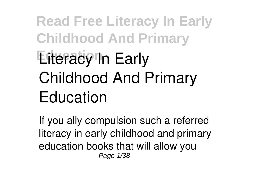# **Read Free Literacy In Early Childhood And Primary Eiteracy In Early Childhood And Primary Education**

If you ally compulsion such a referred **literacy in early childhood and primary education** books that will allow you Page 1/38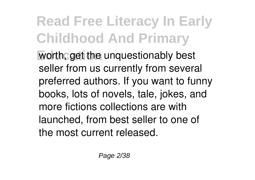**Education** worth, get the unquestionably best seller from us currently from several preferred authors. If you want to funny books, lots of novels, tale, jokes, and more fictions collections are with launched, from best seller to one of the most current released.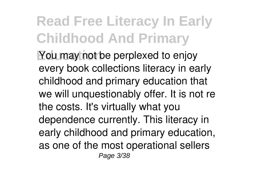**You may not be perplexed to enjoy** every book collections literacy in early childhood and primary education that we will unquestionably offer. It is not re the costs. It's virtually what you dependence currently. This literacy in early childhood and primary education, as one of the most operational sellers Page 3/38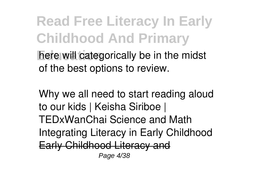**Read Free Literacy In Early Childhood And Primary here will categorically be in the midst** of the best options to review.

**Why we all need to start reading aloud to our kids | Keisha Siriboe | TEDxWanChai Science and Math Integrating Literacy in Early Childhood** Early Childhood Literacy and Page 4/38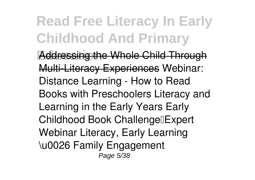**Education** Addressing the Whole Child Through Multi-Literacy Experiences **Webinar: Distance Learning - How to Read Books with Preschoolers Literacy and Learning in the Early Years Early Childhood Book Challenge** Expert **Webinar** *Literacy, Early Learning \u0026 Family Engagement* Page 5/38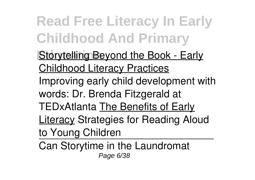- **Storytelling Beyond the Book Early** Childhood Literacy Practices *Improving early child development with words: Dr. Brenda Fitzgerald at TEDxAtlanta* The Benefits of Early **Literacy Strategies for Reading Aloud** to Young Children
- Can Storytime in the Laundromat Page 6/38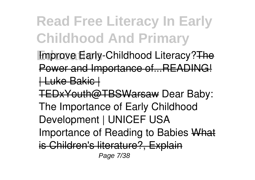**Improve Early-Childhood Literacy?The** Power and Importance of...READING! | Luke Bakic | TEDxYouth@TBSWarsaw *Dear Baby: The Importance of Early Childhood*

*Development | UNICEF USA*

Importance of Reading to Babies What

is Children's literature?, Explain

Page 7/38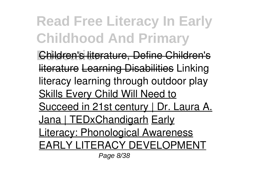**Education** Children's literature, Define Children's literature Learning Disabilities *Linking literacy learning through outdoor play* Skills Every Child Will Need to Succeed in 21st century | Dr. Laura A. Jana | TEDxChandigarh Early Literacy: Phonological Awareness EARLY LITERACY DEVELOPMENT Page 8/38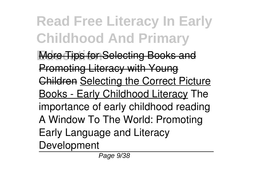**Read Free Literacy In Early Childhood And Primary Education** More Tips for Selecting Books and Promoting Literacy with Young Children Selecting the Correct Picture Books - Early Childhood Literacy *The importance of early childhood reading A Window To The World: Promoting Early Language and Literacy Development*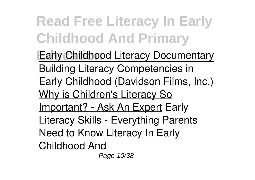**Early Childhood Literacy Documentary** Building Literacy Competencies in Early Childhood (Davidson Films, Inc.) Why is Children's Literacy So Important? - Ask An Expert *Early Literacy Skills - Everything Parents Need to Know Literacy In Early Childhood And* Page 10/38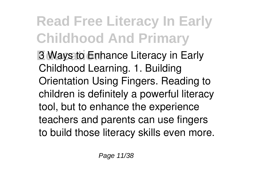**Read Free Literacy In Early Childhood And Primary Education** 3 Ways to Enhance Literacy in Early Childhood Learning. 1. Building Orientation Using Fingers. Reading to children is definitely a powerful literacy tool, but to enhance the experience teachers and parents can use fingers to build those literacy skills even more.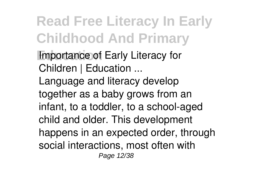**Read Free Literacy In Early Childhood And Primary Importance of Early Literacy for** *Children | Education ...* Language and literacy develop together as a baby grows from an infant, to a toddler, to a school-aged child and older. This development happens in an expected order, through social interactions, most often with Page 12/38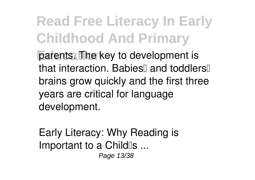**Parents.** The key to development is that interaction. Babies<sup>[]</sup> and toddlers<sup>[]</sup> brains grow quickly and the first three years are critical for language development.

*Early Literacy: Why Reading is Important to a Child's ...* Page 13/38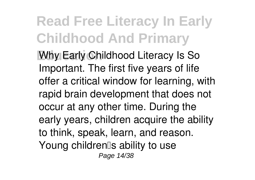**Why Early Childhood Literacy Is So** Important. The first five years of life offer a critical window for learning, with rapid brain development that does not occur at any other time. During the early years, children acquire the ability to think, speak, learn, and reason. Young children<sup>[]</sup>s ability to use Page 14/38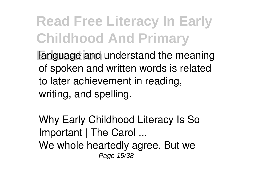**Read Free Literacy In Early Childhood And Primary Language and understand the meaning** of spoken and written words is related to later achievement in reading, writing, and spelling.

*Why Early Childhood Literacy Is So Important | The Carol ...* We whole heartedly agree. But we Page 15/38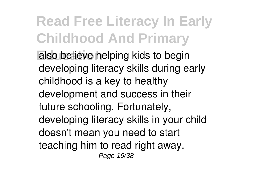**Read Free Literacy In Early Childhood And Primary Education** also believe helping kids to begin developing literacy skills during early childhood is a key to healthy development and success in their

future schooling. Fortunately, developing literacy skills in your child doesn't mean you need to start teaching him to read right away. Page 16/38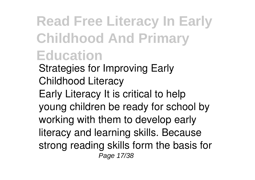#### **Read Free Literacy In Early Childhood And Primary Education** *Strategies for Improving Early Childhood Literacy*

Early Literacy It is critical to help young children be ready for school by working with them to develop early literacy and learning skills. Because strong reading skills form the basis for Page 17/38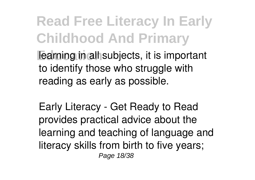**Read Free Literacy In Early Childhood And Primary Fearning in all subjects, it is important** to identify those who struggle with reading as early as possible.

*Early Literacy - Get Ready to Read* provides practical advice about the learning and teaching of language and literacy skills from birth to five years; Page 18/38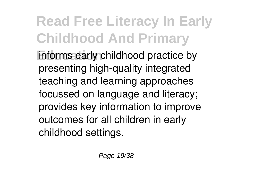**Read Free Literacy In Early Childhood And Primary Education** informs early childhood practice by presenting high-quality integrated teaching and learning approaches focussed on language and literacy; provides key information to improve outcomes for all children in early childhood settings.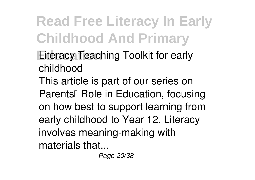*Literacy Teaching Toolkit for early childhood*

This article is part of our series on Parents<sup>[]</sup> Role in Education, focusing on how best to support learning from early childhood to Year 12. Literacy involves meaning-making with materials that...

Page 20/38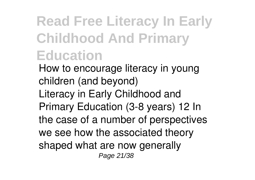*How to encourage literacy in young children (and beyond)* Literacy in Early Childhood and Primary Education (3-8 years) 12 In the case of a number of perspectives we see how the associated theory shaped what are now generally Page 21/38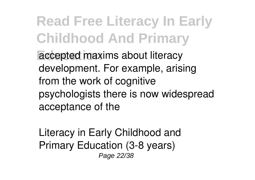**Read Free Literacy In Early Childhood And Primary Accepted maxims about literacy** development. For example, arising from the work of cognitive psychologists there is now widespread acceptance of the

*Literacy in Early Childhood and Primary Education (3-8 years)* Page 22/38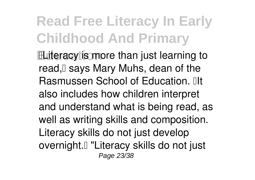**ELiteracy is more than just learning to** read, I says Mary Muhs, dean of the Rasmussen School of Education. **Ill** also includes how children interpret and understand what is being read, as well as writing skills and composition. Literacy skills do not just develop overnight.<sup>[]</sup> "Literacy skills do not just Page 23/38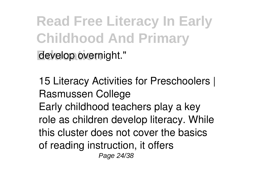**Read Free Literacy In Early Childhood And Primary** develop overnight."

*15 Literacy Activities for Preschoolers | Rasmussen College* Early childhood teachers play a key role as children develop literacy. While this cluster does not cover the basics of reading instruction, it offers Page 24/38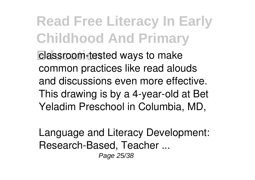**Read Free Literacy In Early Childhood And Primary Elassroom-tested ways to make** common practices like read alouds and discussions even more effective. This drawing is by a 4-year-old at Bet Yeladim Preschool in Columbia, MD,

*Language and Literacy Development: Research-Based, Teacher ...* Page 25/38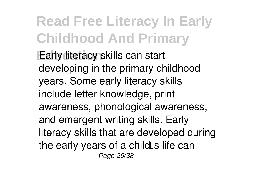**Read Free Literacy In Early Childhood And Primary Early literacy skills can start** developing in the primary childhood years. Some early literacy skills include letter knowledge, print awareness, phonological awareness, and emergent writing skills. Early literacy skills that are developed during the early years of a child $\mathbb{S}$  life can Page 26/38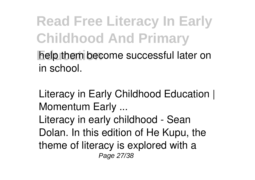**Read Free Literacy In Early Childhood And Primary help them become successful later on** in school.

*Literacy in Early Childhood Education | Momentum Early ...* Literacy in early childhood - Sean Dolan. In this edition of He Kupu, the theme of literacy is explored with a Page 27/38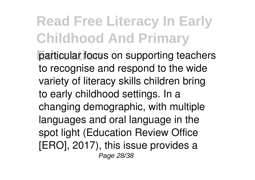**Particular focus on supporting teachers** to recognise and respond to the wide variety of literacy skills children bring to early childhood settings. In a changing demographic, with multiple languages and oral language in the spot light (Education Review Office [ERO], 2017), this issue provides a Page 28/38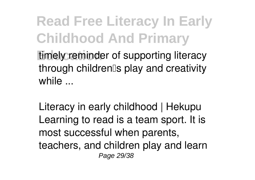**Read Free Literacy In Early Childhood And Primary Education** timely reminder of supporting literacy through children's play and creativity while  $\mathbb{R}$ 

*Literacy in early childhood | Hekupu* Learning to read is a team sport. It is most successful when parents, teachers, and children play and learn Page 29/38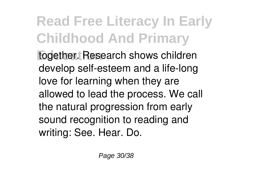**Read Free Literacy In Early Childhood And Primary Education** together. Research shows children develop self-esteem and a life-long love for learning when they are allowed to lead the process. We call the natural progression from early sound recognition to reading and writing: See. Hear. Do.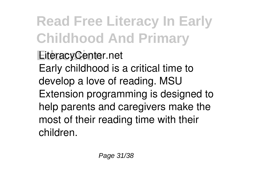**LiteracyCenter.net** Early childhood is a critical time to develop a love of reading. MSU Extension programming is designed to help parents and caregivers make the most of their reading time with their children.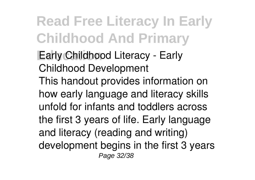**Early Childhood Literacy - Early** *Childhood Development* This handout provides information on how early language and literacy skills unfold for infants and toddlers across the first 3 years of life. Early language and literacy (reading and writing) development begins in the first 3 years Page 32/38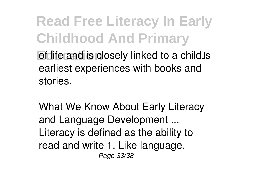**Education** of life and is closely linked to a child<sup>®</sup>s earliest experiences with books and stories.

*What We Know About Early Literacy and Language Development ...* Literacy is defined as the ability to read and write 1. Like language, Page 33/38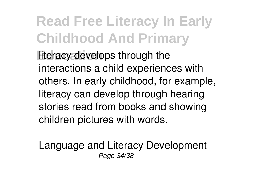**literacy develops through the** interactions a child experiences with others. In early childhood, for example, literacy can develop through hearing stories read from books and showing children pictures with words.

*Language and Literacy Development* Page 34/38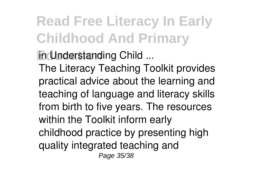**In Understanding Child ...** 

The Literacy Teaching Toolkit provides practical advice about the learning and teaching of language and literacy skills from birth to five years. The resources within the Toolkit inform early childhood practice by presenting high quality integrated teaching and Page 35/38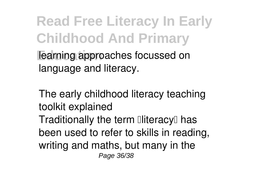**Read Free Literacy In Early Childhood And Primary Learning approaches focussed on** language and literacy.

*The early childhood literacy teaching toolkit explained* Traditionally the term  $\mathbb{I}$ literacy $\mathbb{I}$  has been used to refer to skills in reading, writing and maths, but many in the Page 36/38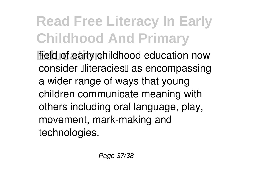field of early childhood education now consider **Iliteracies** as encompassing a wider range of ways that young children communicate meaning with others including oral language, play, movement, mark-making and technologies.